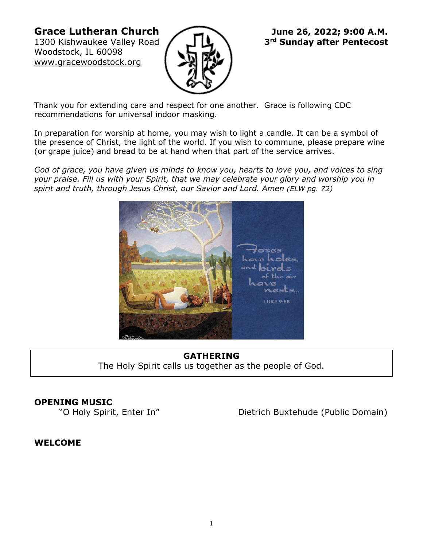**Grace Lutheran Church June 26, 2022; 9:00 A.M.** Woodstock, IL 60098

[www.gracewoodstock.org](http://www.gracewoodstock.org/) 



1300 Kishwaukee Valley Road  $\left( \begin{array}{c} 1 & 1 \\ 1 & 1 \end{array} \right)$  3<sup>rd</sup> Sunday after Pentecost

Thank you for extending care and respect for one another. Grace is following CDC recommendations for universal indoor masking.

In preparation for worship at home, you may wish to light a candle. It can be a symbol of the presence of Christ, the light of the world. If you wish to commune, please prepare wine (or grape juice) and bread to be at hand when that part of the service arrives.

*God of grace, you have given us minds to know you, hearts to love you, and voices to sing your praise. Fill us with your Spirit, that we may celebrate your glory and worship you in spirit and truth, through Jesus Christ, our Savior and Lord. Amen (ELW pg. 72)*



**GATHERING** The Holy Spirit calls us together as the people of God.

# **OPENING MUSIC**

"O Holy Spirit, Enter In" Dietrich Buxtehude (Public Domain)

**WELCOME**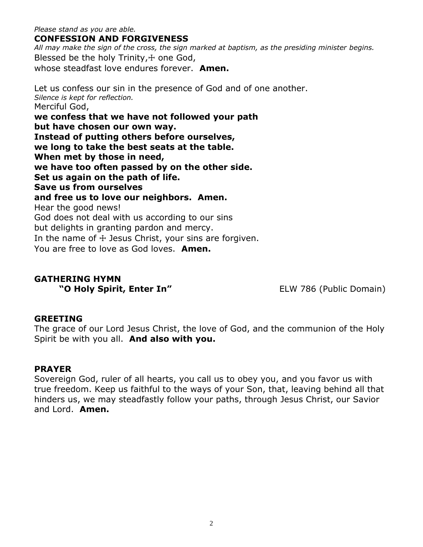*Please stand as you are able.* **CONFESSION AND FORGIVENESS**

*All may make the sign of the cross, the sign marked at baptism, as the presiding minister begins.* Blessed be the holy Trinity, $+$  one God, whose steadfast love endures forever. **Amen.**

Let us confess our sin in the presence of God and of one another. *Silence is kept for reflection.* Merciful God, **we confess that we have not followed your path but have chosen our own way. Instead of putting others before ourselves, we long to take the best seats at the table. When met by those in need, we have too often passed by on the other side. Set us again on the path of life. Save us from ourselves and free us to love our neighbors. Amen.** Hear the good news! God does not deal with us according to our sins but delights in granting pardon and mercy. In the name of  $+$  Jesus Christ, your sins are forgiven. You are free to love as God loves. **Amen.**

# **GATHERING HYMN**

**"O Holy Spirit, Enter In"** ELW 786 (Public Domain)

# **GREETING**

The grace of our Lord Jesus Christ, the love of God, and the communion of the Holy Spirit be with you all. **And also with you.**

# **PRAYER**

Sovereign God, ruler of all hearts, you call us to obey you, and you favor us with true freedom. Keep us faithful to the ways of your Son, that, leaving behind all that hinders us, we may steadfastly follow your paths, through Jesus Christ, our Savior and Lord. **Amen.**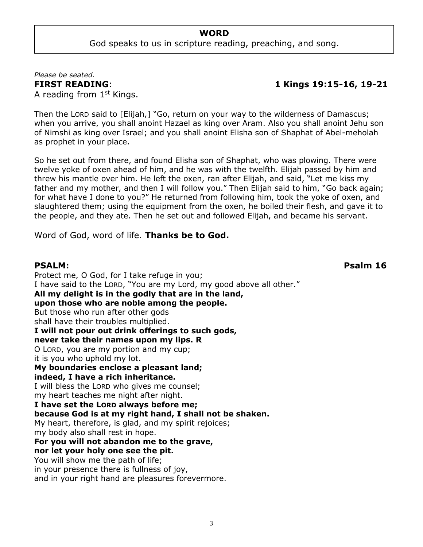#### **WORD** God speaks to us in scripture reading, preaching, and song.

# *Please be seated.* A reading from 1st Kings.

# **FIRST READING**: **1 Kings 19:15-16, 19-21**

Then the LORD said to [Elijah,] "Go, return on your way to the wilderness of Damascus; when you arrive, you shall anoint Hazael as king over Aram. Also you shall anoint Jehu son of Nimshi as king over Israel; and you shall anoint Elisha son of Shaphat of Abel-meholah as prophet in your place.

So he set out from there, and found Elisha son of Shaphat, who was plowing. There were twelve yoke of oxen ahead of him, and he was with the twelfth. Elijah passed by him and threw his mantle over him. He left the oxen, ran after Elijah, and said, "Let me kiss my father and my mother, and then I will follow you." Then Elijah said to him, "Go back again; for what have I done to you?" He returned from following him, took the yoke of oxen, and slaughtered them; using the equipment from the oxen, he boiled their flesh, and gave it to the people, and they ate. Then he set out and followed Elijah, and became his servant.

Word of God, word of life. **Thanks be to God.**

Protect me, O God, for I take refuge in you; I have said to the LORD, "You are my Lord, my good above all other." **All my delight is in the godly that are in the land, upon those who are noble among the people.** But those who run after other gods shall have their troubles multiplied. **I will not pour out drink offerings to such gods, never take their names upon my lips. R** O LORD, you are my portion and my cup; it is you who uphold my lot. **My boundaries enclose a pleasant land; indeed, I have a rich inheritance.** I will bless the LORD who gives me counsel; my heart teaches me night after night. **I have set the LORD always before me; because God is at my right hand, I shall not be shaken.** My heart, therefore, is glad, and my spirit rejoices; my body also shall rest in hope. **For you will not abandon me to the grave, nor let your holy one see the pit.** You will show me the path of life; in your presence there is fullness of joy, and in your right hand are pleasures forevermore.

PSALM: PSALM: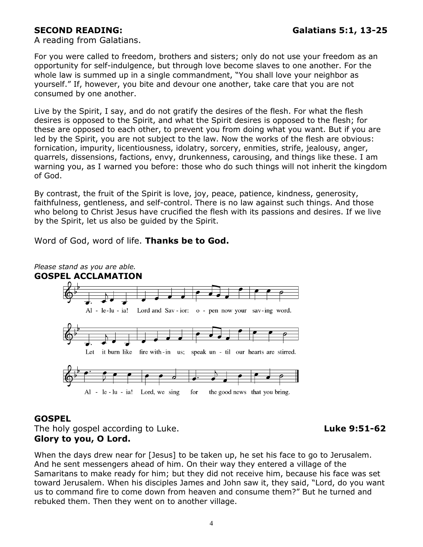A reading from Galatians.

For you were called to freedom, brothers and sisters; only do not use your freedom as an opportunity for self-indulgence, but through love become slaves to one another. For the whole law is summed up in a single commandment, "You shall love your neighbor as yourself." If, however, you bite and devour one another, take care that you are not consumed by one another.

Live by the Spirit, I say, and do not gratify the desires of the flesh. For what the flesh desires is opposed to the Spirit, and what the Spirit desires is opposed to the flesh; for these are opposed to each other, to prevent you from doing what you want. But if you are led by the Spirit, you are not subject to the law. Now the works of the flesh are obvious: fornication, impurity, licentiousness, idolatry, sorcery, enmities, strife, jealousy, anger, quarrels, dissensions, factions, envy, drunkenness, carousing, and things like these. I am warning you, as I warned you before: those who do such things will not inherit the kingdom of God.

By contrast, the fruit of the Spirit is love, joy, peace, patience, kindness, generosity, faithfulness, gentleness, and self-control. There is no law against such things. And those who belong to Christ Jesus have crucified the flesh with its passions and desires. If we live by the Spirit, let us also be guided by the Spirit.

Word of God, word of life. **Thanks be to God.** 



# **GOSPEL**

The holy gospel according to Luke. **Luke 9:51-62 Glory to you, O Lord.** 

When the days drew near for [Jesus] to be taken up, he set his face to go to Jerusalem. And he sent messengers ahead of him. On their way they entered a village of the Samaritans to make ready for him; but they did not receive him, because his face was set toward Jerusalem. When his disciples James and John saw it, they said, "Lord, do you want us to command fire to come down from heaven and consume them?" But he turned and rebuked them. Then they went on to another village.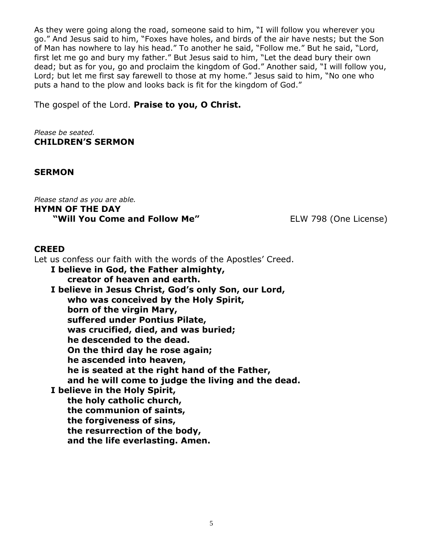As they were going along the road, someone said to him, "I will follow you wherever you go." And Jesus said to him, "Foxes have holes, and birds of the air have nests; but the Son of Man has nowhere to lay his head." To another he said, "Follow me." But he said, "Lord, first let me go and bury my father." But Jesus said to him, "Let the dead bury their own dead; but as for you, go and proclaim the kingdom of God." Another said, "I will follow you, Lord; but let me first say farewell to those at my home." Jesus said to him, "No one who puts a hand to the plow and looks back is fit for the kingdom of God."

The gospel of the Lord. **Praise to you, O Christ.** 

*Please be seated.* **CHILDREN'S SERMON**

#### **SERMON**

*Please stand as you are able.* **HYMN OF THE DAY "Will You Come and Follow Me"** ELW 798 (One License)

#### **CREED**

Let us confess our faith with the words of the Apostles' Creed.

**I believe in God, the Father almighty, creator of heaven and earth. I believe in Jesus Christ, God's only Son, our Lord, who was conceived by the Holy Spirit, born of the virgin Mary, suffered under Pontius Pilate, was crucified, died, and was buried; he descended to the dead. On the third day he rose again; he ascended into heaven, he is seated at the right hand of the Father, and he will come to judge the living and the dead. I believe in the Holy Spirit, the holy catholic church, the communion of saints, the forgiveness of sins, the resurrection of the body,**

**and the life everlasting. Amen.**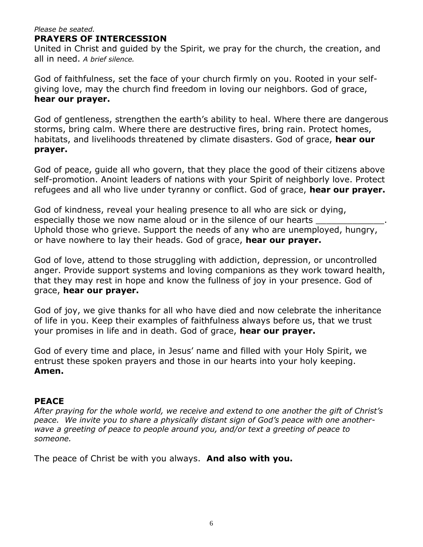#### *Please be seated.* **PRAYERS OF INTERCESSION**

United in Christ and guided by the Spirit, we pray for the church, the creation, and all in need. *A brief silence.*

God of faithfulness, set the face of your church firmly on you. Rooted in your selfgiving love, may the church find freedom in loving our neighbors. God of grace, **hear our prayer.**

God of gentleness, strengthen the earth's ability to heal. Where there are dangerous storms, bring calm. Where there are destructive fires, bring rain. Protect homes, habitats, and livelihoods threatened by climate disasters. God of grace, **hear our prayer.**

God of peace, guide all who govern, that they place the good of their citizens above self-promotion. Anoint leaders of nations with your Spirit of neighborly love. Protect refugees and all who live under tyranny or conflict. God of grace, **hear our prayer.**

God of kindness, reveal your healing presence to all who are sick or dying, especially those we now name aloud or in the silence of our hearts Uphold those who grieve. Support the needs of any who are unemployed, hungry, or have nowhere to lay their heads. God of grace, **hear our prayer.**

God of love, attend to those struggling with addiction, depression, or uncontrolled anger. Provide support systems and loving companions as they work toward health, that they may rest in hope and know the fullness of joy in your presence. God of grace, **hear our prayer.**

God of joy, we give thanks for all who have died and now celebrate the inheritance of life in you. Keep their examples of faithfulness always before us, that we trust your promises in life and in death. God of grace, **hear our prayer.**

God of every time and place, in Jesus' name and filled with your Holy Spirit, we entrust these spoken prayers and those in our hearts into your holy keeping. **Amen.**

# **PEACE**

*After praying for the whole world, we receive and extend to one another the gift of Christ's peace. We invite you to share a physically distant sign of God's peace with one anotherwave a greeting of peace to people around you, and/or text a greeting of peace to someone.*

The peace of Christ be with you always. **And also with you.**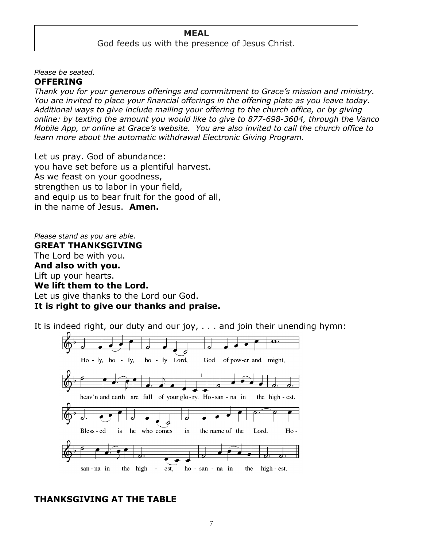#### **MEAL** God feeds us with the presence of Jesus Christ.

*Please be seated.*

# **OFFERING**

*Thank you for your generous offerings and commitment to Grace's mission and ministry. You are invited to place your financial offerings in the offering plate as you leave today. Additional ways to give include mailing your offering to the church office, or by giving online: by texting the amount you would like to give to 877-698-3604, through the Vanco Mobile App, or online at Grace's website. You are also invited to call the church office to learn more about the automatic withdrawal Electronic Giving Program.*

Let us pray. God of abundance: you have set before us a plentiful harvest. As we feast on your goodness, strengthen us to labor in your field, and equip us to bear fruit for the good of all, in the name of Jesus. **Amen.**

*Please stand as you are able.* **GREAT THANKSGIVING** The Lord be with you. **And also with you.** Lift up your hearts. **We lift them to the Lord.** Let us give thanks to the Lord our God. **It is right to give our thanks and praise.**

It is indeed right, our duty and our joy, . . . and join their unending hymn:



# **THANKSGIVING AT THE TABLE**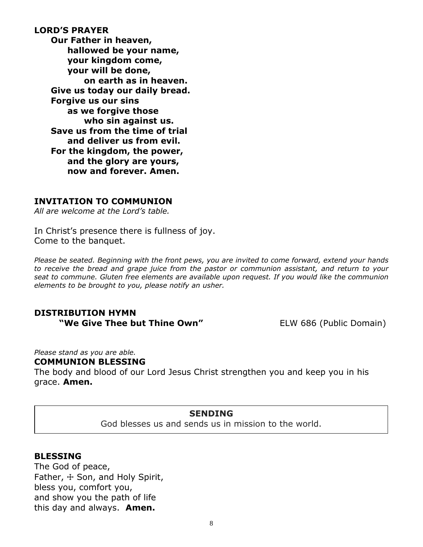#### **LORD'S PRAYER**

**Our Father in heaven, hallowed be your name, your kingdom come, your will be done, on earth as in heaven. Give us today our daily bread. Forgive us our sins as we forgive those who sin against us. Save us from the time of trial and deliver us from evil. For the kingdom, the power, and the glory are yours, now and forever. Amen.**

#### **INVITATION TO COMMUNION**

*All are welcome at the Lord's table.*

In Christ's presence there is fullness of joy. Come to the banquet.

*Please be seated. Beginning with the front pews, you are invited to come forward, extend your hands to receive the bread and grape juice from the pastor or communion assistant, and return to your seat to commune. Gluten free elements are available upon request. If you would like the communion elements to be brought to you, please notify an usher.* 

#### **DISTRIBUTION HYMN "We Give Thee but Thine Own"** ELW 686 (Public Domain)

*Please stand as you are able.* **COMMUNION BLESSING**

The body and blood of our Lord Jesus Christ strengthen you and keep you in his grace. **Amen.**

#### **SENDING**

God blesses us and sends us in mission to the world.

#### **BLESSING**

The God of peace, Father, + Son, and Holy Spirit, bless you, comfort you, and show you the path of life this day and always. **Amen.**